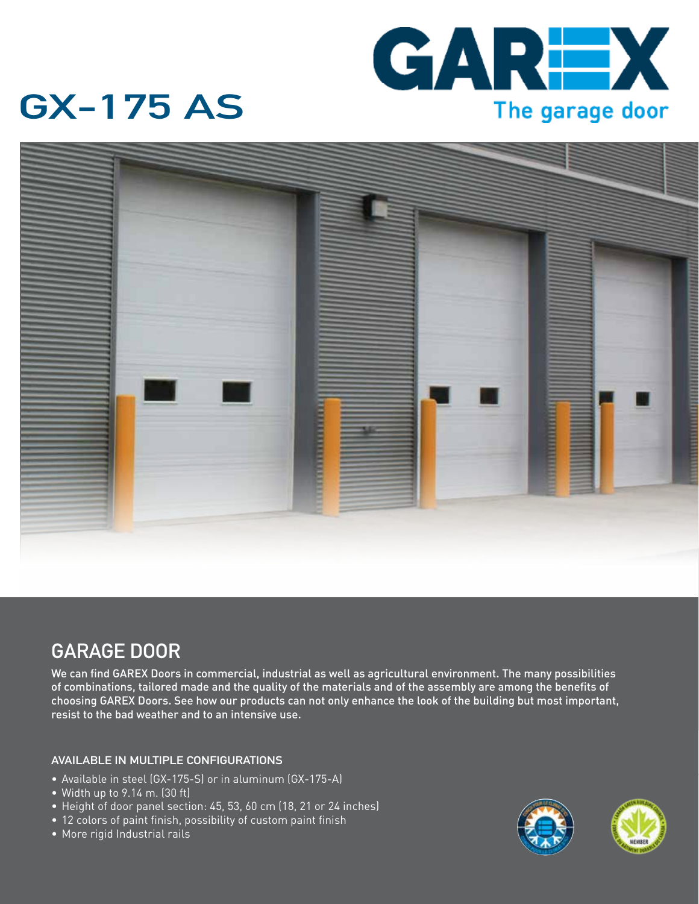

## **GX-175 AS**



### **GARAGE DOOR**

We can find GAREX Doors in commercial, industrial as well as agricultural environment. The many possibilities of combinations, tailored made and the quality of the materials and of the assembly are among the benefits of choosing GAREX Doors. See how our products can not only enhance the look of the building but most important, resist to the bad weather and to an intensive use.

#### **AVAILABLE IN MULTIPLE CONFIGURATIONS**

- Available in steel (GX-175-S) or in aluminum (GX-175-A)
- • Width up to 9.14 m. (30 ft)
- Height of door panel section: 45, 53, 60 cm (18, 21 or 24 inches)
- 12 colors of paint finish, possibility of custom paint finish
- • More rigid Industrial rails



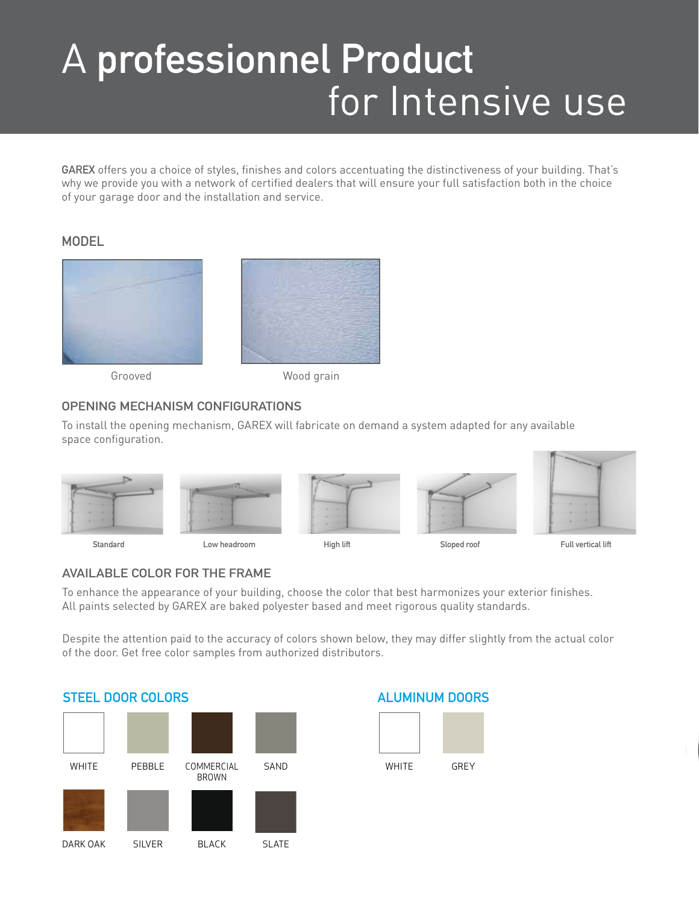# A **professionnel Product** for Intensive use

**GAREX** offers you a choice of styles, finishes and colors accentuating the distinctiveness of your building. That's why we provide you with a network of certified dealers that will ensure your full satisfaction both in the choice of your garage door and the installation and service.

#### **MODEL**



Grooved Wood grain

#### **OPENING MECHANISM CONFIGURATIONS**

To install the opening mechanism, GAREX will fabricate on demand a system adapted for any available space configuration.



#### **AVAILABLE COLOR FOR THE FRAME**

To enhance the appearance of your building, choose the color that best harmonizes your exterior finishes. All paints selected by GAREX are baked polyester based and meet rigorous quality standards.

Despite the attention paid to the accuracy of colors shown below, they may differ slightly from the actual color of the door. Get free color samples from authorized distributors.

### **STEEL DOOR COLORS**



### **ALUMINUM DOORS**

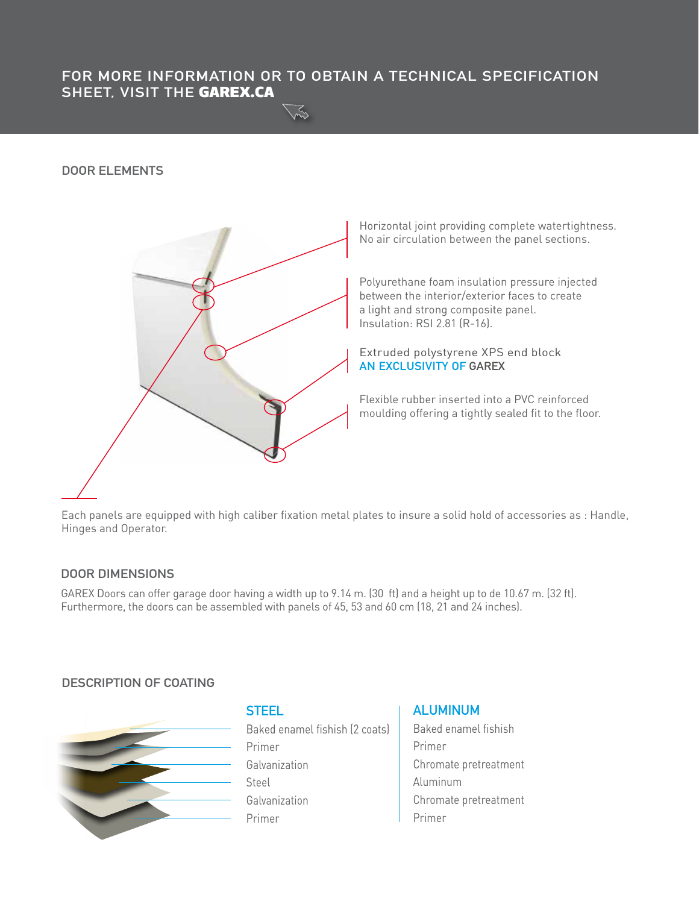#### **FOR MORE INFORMATION OR TO OBTAIN A TECHNICAL SPECIFICATION SHEET, VISIT THE** GAREX.CA

#### **DOOR ELEMENTS**



Horizontal joint providing complete watertightness. No air circulation between the panel sections.

Polyurethane foam insulation pressure injected between the interior/exterior faces to create a light and strong composite panel. Insulation: RSI 2.81 (R-16).

Extruded polystyrene XPS end block **AN EXCLUSIVITY OF GAREX**

Flexible rubber inserted into a PVC reinforced moulding offering a tightly sealed fit to the floor.

Each panels are equipped with high caliber fixation metal plates to insure a solid hold of accessories as : Handle, Hinges and Operator.

#### **DOOR DIMENSIONS**

GAREX Doors can offer garage door having a width up to 9.14 m. (30 ft) and a height up to de 10.67 m. (32 ft). Furthermore, the doors can be assembled with panels of 45, 53 and 60 cm (18, 21 and 24 inches).

#### **DESCRIPTION OF COATING**



#### **STEEL**

Baked enamel fishish (2 coats) Primer Galvanization Steel Galvanization Primer

#### **ALUMINUM**

Baked enamel fishish Primer Chromate pretreatment Aluminum Chromate pretreatment Primer